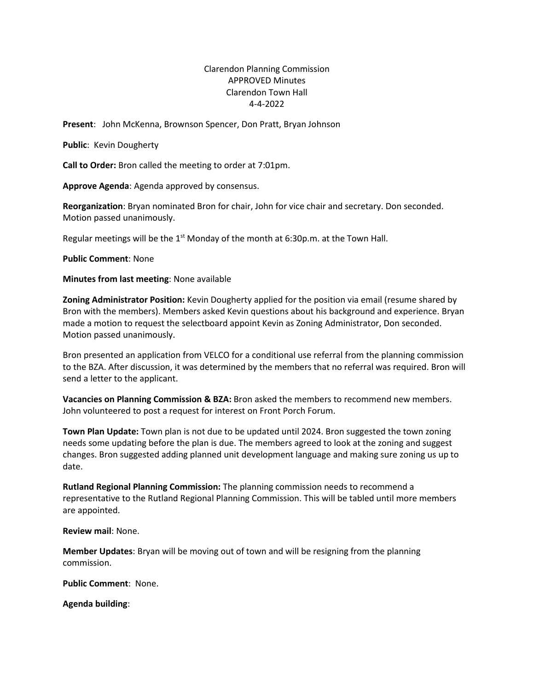## Clarendon Planning Commission APPROVED Minutes Clarendon Town Hall 4-4-2022

**Present**: John McKenna, Brownson Spencer, Don Pratt, Bryan Johnson

**Public**: Kevin Dougherty

**Call to Order:** Bron called the meeting to order at 7:01pm.

**Approve Agenda**: Agenda approved by consensus.

**Reorganization**: Bryan nominated Bron for chair, John for vice chair and secretary. Don seconded. Motion passed unanimously.

Regular meetings will be the  $1<sup>st</sup>$  Monday of the month at 6:30p.m. at the Town Hall.

**Public Comment**: None

**Minutes from last meeting**: None available

**Zoning Administrator Position:** Kevin Dougherty applied for the position via email (resume shared by Bron with the members). Members asked Kevin questions about his background and experience. Bryan made a motion to request the selectboard appoint Kevin as Zoning Administrator, Don seconded. Motion passed unanimously.

Bron presented an application from VELCO for a conditional use referral from the planning commission to the BZA. After discussion, it was determined by the members that no referral was required. Bron will send a letter to the applicant.

**Vacancies on Planning Commission & BZA:** Bron asked the members to recommend new members. John volunteered to post a request for interest on Front Porch Forum.

**Town Plan Update:** Town plan is not due to be updated until 2024. Bron suggested the town zoning needs some updating before the plan is due. The members agreed to look at the zoning and suggest changes. Bron suggested adding planned unit development language and making sure zoning us up to date.

**Rutland Regional Planning Commission:** The planning commission needs to recommend a representative to the Rutland Regional Planning Commission. This will be tabled until more members are appointed.

**Review mail**: None.

**Member Updates**: Bryan will be moving out of town and will be resigning from the planning commission.

**Public Comment**: None.

**Agenda building**: